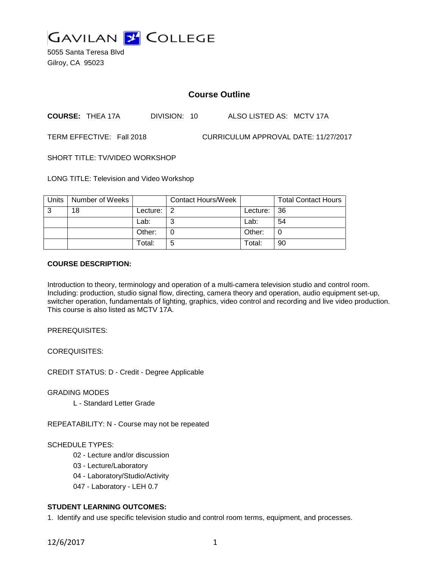

5055 Santa Teresa Blvd Gilroy, CA 95023

# **Course Outline**

**COURSE:** THEA 17A DIVISION: 10 ALSO LISTED AS: MCTV 17A

TERM EFFECTIVE: Fall 2018 CURRICULUM APPROVAL DATE: 11/27/2017

SHORT TITLE: TV/VIDEO WORKSHOP

LONG TITLE: Television and Video Workshop

| Units | Number of Weeks |          | <b>Contact Hours/Week</b> |             | <b>Total Contact Hours</b> |
|-------|-----------------|----------|---------------------------|-------------|----------------------------|
| 3     | 18              | Lecture: | l 2                       | Lecture: 36 |                            |
|       |                 | Lab:     | ⌒                         | Lab:        | 54                         |
|       |                 | Other:   |                           | Other:      |                            |
|       |                 | Total:   | 5                         | Total:      | 90                         |

#### **COURSE DESCRIPTION:**

Introduction to theory, terminology and operation of a multi-camera television studio and control room. Including: production, studio signal flow, directing, camera theory and operation, audio equipment set-up, switcher operation, fundamentals of lighting, graphics, video control and recording and live video production. This course is also listed as MCTV 17A.

PREREQUISITES:

COREQUISITES:

CREDIT STATUS: D - Credit - Degree Applicable

GRADING MODES

L - Standard Letter Grade

REPEATABILITY: N - Course may not be repeated

#### SCHEDULE TYPES:

- 02 Lecture and/or discussion
- 03 Lecture/Laboratory
- 04 Laboratory/Studio/Activity
- 047 Laboratory LEH 0.7

## **STUDENT LEARNING OUTCOMES:**

1. Identify and use specific television studio and control room terms, equipment, and processes.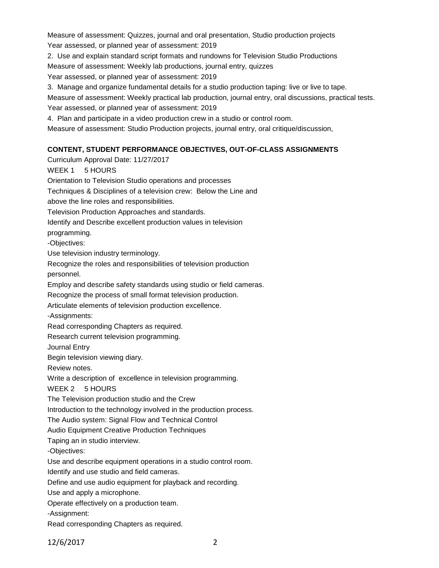Measure of assessment: Quizzes, journal and oral presentation, Studio production projects Year assessed, or planned year of assessment: 2019

2. Use and explain standard script formats and rundowns for Television Studio Productions Measure of assessment: Weekly lab productions, journal entry, quizzes

Year assessed, or planned year of assessment: 2019

3. Manage and organize fundamental details for a studio production taping: live or live to tape.

Measure of assessment: Weekly practical lab production, journal entry, oral discussions, practical tests.

Year assessed, or planned year of assessment: 2019

4. Plan and participate in a video production crew in a studio or control room.

Measure of assessment: Studio Production projects, journal entry, oral critique/discussion,

# **CONTENT, STUDENT PERFORMANCE OBJECTIVES, OUT-OF-CLASS ASSIGNMENTS**

Curriculum Approval Date: 11/27/2017 WEEK 1 5 HOURS Orientation to Television Studio operations and processes Techniques & Disciplines of a television crew: Below the Line and above the line roles and responsibilities. Television Production Approaches and standards. Identify and Describe excellent production values in television programming. -Objectives: Use television industry terminology. Recognize the roles and responsibilities of television production personnel. Employ and describe safety standards using studio or field cameras. Recognize the process of small format television production. Articulate elements of television production excellence. -Assignments: Read corresponding Chapters as required. Research current television programming. Journal Entry Begin television viewing diary. Review notes. Write a description of excellence in television programming. WEEK 2 5 HOURS The Television production studio and the Crew Introduction to the technology involved in the production process. The Audio system: Signal Flow and Technical Control Audio Equipment Creative Production Techniques Taping an in studio interview. -Objectives: Use and describe equipment operations in a studio control room. Identify and use studio and field cameras. Define and use audio equipment for playback and recording. Use and apply a microphone. Operate effectively on a production team. -Assignment: Read corresponding Chapters as required.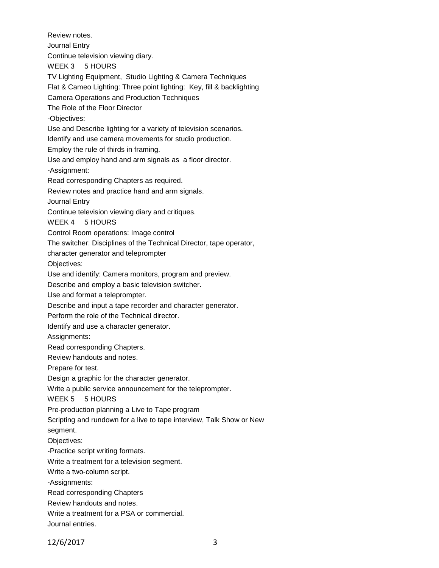Review notes. Journal Entry Continue television viewing diary. WEEK 3 5 HOURS TV Lighting Equipment, Studio Lighting & Camera Techniques Flat & Cameo Lighting: Three point lighting: Key, fill & backlighting Camera Operations and Production Techniques The Role of the Floor Director -Objectives: Use and Describe lighting for a variety of television scenarios. Identify and use camera movements for studio production. Employ the rule of thirds in framing. Use and employ hand and arm signals as a floor director. -Assignment: Read corresponding Chapters as required. Review notes and practice hand and arm signals. Journal Entry Continue television viewing diary and critiques. WEEK 4 5 HOURS Control Room operations: Image control The switcher: Disciplines of the Technical Director, tape operator, character generator and teleprompter Objectives: Use and identify: Camera monitors, program and preview. Describe and employ a basic television switcher. Use and format a teleprompter. Describe and input a tape recorder and character generator. Perform the role of the Technical director. Identify and use a character generator. Assignments: Read corresponding Chapters. Review handouts and notes. Prepare for test. Design a graphic for the character generator. Write a public service announcement for the teleprompter. WEEK 5 5 HOURS Pre-production planning a Live to Tape program Scripting and rundown for a live to tape interview, Talk Show or New segment. Objectives: -Practice script writing formats. Write a treatment for a television segment. Write a two-column script. -Assignments: Read corresponding Chapters Review handouts and notes. Write a treatment for a PSA or commercial. Journal entries.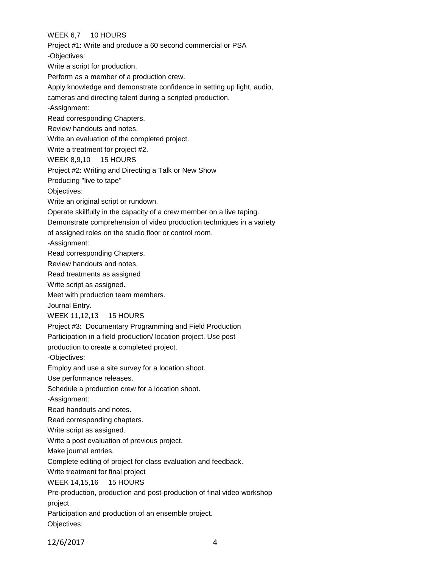## WEEK 6,7 10 HOURS

Project #1: Write and produce a 60 second commercial or PSA

-Objectives:

Write a script for production.

Perform as a member of a production crew.

Apply knowledge and demonstrate confidence in setting up light, audio,

cameras and directing talent during a scripted production.

-Assignment:

Read corresponding Chapters.

Review handouts and notes.

Write an evaluation of the completed project.

Write a treatment for project #2.

WEEK 8,9,10 15 HOURS

Project #2: Writing and Directing a Talk or New Show

Producing "live to tape"

Objectives:

Write an original script or rundown.

Operate skillfully in the capacity of a crew member on a live taping.

Demonstrate comprehension of video production techniques in a variety

of assigned roles on the studio floor or control room.

-Assignment:

Read corresponding Chapters.

Review handouts and notes.

Read treatments as assigned

Write script as assigned.

Meet with production team members.

Journal Entry.

WEEK 11,12,13 15 HOURS

Project #3: Documentary Programming and Field Production

Participation in a field production/ location project. Use post

production to create a completed project.

-Objectives:

Employ and use a site survey for a location shoot.

Use performance releases.

Schedule a production crew for a location shoot.

-Assignment:

Read handouts and notes.

Read corresponding chapters.

Write script as assigned.

Write a post evaluation of previous project.

Make journal entries.

Complete editing of project for class evaluation and feedback.

Write treatment for final project

WEEK 14,15,16 15 HOURS

Pre-production, production and post-production of final video workshop project.

Participation and production of an ensemble project. Objectives: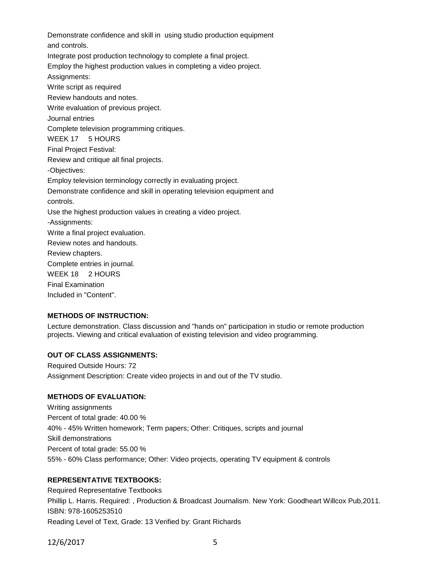Demonstrate confidence and skill in using studio production equipment and controls. Integrate post production technology to complete a final project. Employ the highest production values in completing a video project. Assignments: Write script as required Review handouts and notes. Write evaluation of previous project. Journal entries Complete television programming critiques. WEEK 17 5 HOURS Final Project Festival: Review and critique all final projects. -Objectives: Employ television terminology correctly in evaluating project. Demonstrate confidence and skill in operating television equipment and controls. Use the highest production values in creating a video project. -Assignments: Write a final project evaluation. Review notes and handouts. Review chapters. Complete entries in journal. WEEK 18 2 HOURS Final Examination Included in "Content".

# **METHODS OF INSTRUCTION:**

Lecture demonstration. Class discussion and "hands on" participation in studio or remote production projects. Viewing and critical evaluation of existing television and video programming.

#### **OUT OF CLASS ASSIGNMENTS:**

Required Outside Hours: 72 Assignment Description: Create video projects in and out of the TV studio.

### **METHODS OF EVALUATION:**

Writing assignments Percent of total grade: 40.00 % 40% - 45% Written homework; Term papers; Other: Critiques, scripts and journal Skill demonstrations Percent of total grade: 55.00 % 55% - 60% Class performance; Other: Video projects, operating TV equipment & controls

### **REPRESENTATIVE TEXTBOOKS:**

Required Representative Textbooks Phillip L. Harris. Required: , Production & Broadcast Journalism. New York: Goodheart Willcox Pub,2011. ISBN: 978-1605253510 Reading Level of Text, Grade: 13 Verified by: Grant Richards